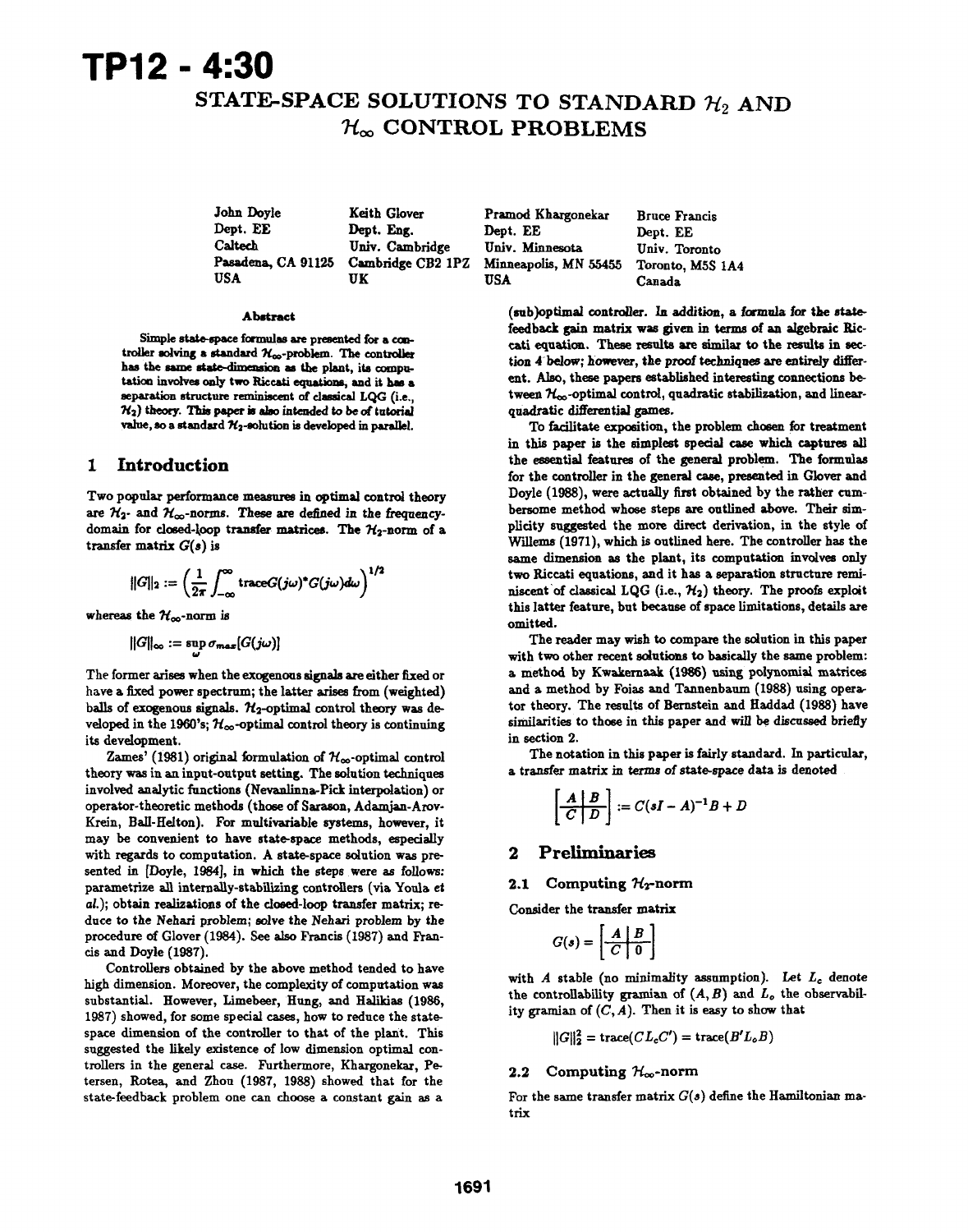# TPI2 - 4:30

# STATE-SPACE SOLUTIONS TO STANDARD  $\mathcal{H}_2$  AND  $\mathcal{H}_{\infty}$  CONTROL PROBLEMS

John Doyle Dept. EE Caltech Pasadena, CA <sup>91126</sup> USA Keith Glover Dept. Eng. Univ. Cambridge UK

Cambridge CB2 IPZ Pramod Khargonekar Dept. EE Univ. Minnesota Minneapolis, MN <sup>55455</sup> USA

Bruce Francis Dept. EE Univ. Toronto Toronto, MSS lA4 Canada

#### Abstract

Simple state-space formulas are presented for a controller solving a standard  $\mathcal{H}_{\infty}$ -problem. The controller has the same state-dimension as the plant, its computation involves only two Riccati equations, and it has a separation structure reminiscent of classical LQG (i.e.,  $\mathcal{H}_2$ ) theory. This paper is also intended to be of tutorial value, so a standard  $\mathcal{H}_2$ -solution is developed in parallel.

# 1 Introduction

Two popular performance measures in optimal control theory are  $\mathcal{H}_{2}$ - and  $\mathcal{H}_{\infty}$ -norms. These are defined in the frequencydomain for closed-loop transfer matrices. The  $\mathcal{H}_2$ -norm of a transfer matrix  $G(s)$  is

$$
||G||_2:=\left(\frac{1}{2\pi}\int_{-\infty}^\infty\mathrm{trace} G(j\omega)^*G(j\omega)d\omega\right)^{1/2}
$$

whereas the  $\mathcal{H}_{\infty}$ -norm is

$$
||G||_{\infty} := \sup \sigma_{max}[G(j\omega)]
$$

The former arises when the exogenous signals are either fixed or have a fixed power spectrum; the latter arises from (weighted) balls of exogenous signals.  $\mathcal{H}_2$ -optimal control theory was developed in the 1960's;  $\mathcal{H}_{\infty}$ -optimal control theory is continuing its development.

Zames' (1981) original formulation of  $\mathcal{H}_{\infty}$ -optimal control theory was in an input-output setting. The solution techniques involved analytic functions (Nevanlinna-Pick interpolation) or operator-theoretic methods (those of Saraon, Adamjan-Arov-Krein, Ball-Helton). For multivariable systems, however, it may be convenient to have state-space methods, especially with regards to computation. A state-space solution was presented in [Doyle, 1984), in which the steps were as follows: parametrize all internally-stabilizing controllers (via Youla et al.); obtain realizations of the closed-loop transfer matrix; reduce to the Nehari problem; solve the Nehari problem by the procedure of Glover (1984). See also Francis (1987) and Francis and Doyle (1987).

Controllers obtained by the above method tended to have high dimension. Moreover, the complexity of computation was substantial. However, Limebeer, Hung, and Halikias (1986, 1987) showed, for some special cases, how to reduce the statespace dimension of the controller to that of the plant. This suggested the likely existence of low dimension optimal controllers in the general case. Furthermore, Khargonekar, Petersen, Rotea, and Zhou (1987, 1988) showed that for the state-feedback problem one can choose a constant gain as a

(sub)optimal controller. In addition, a formula for the statefeedback gain matrix was given in terms of an algebraic Riccati equation. These resuts are similar to the results in section 4 below; however, the proof techniques are entirely different. Also, these papers established interesting connections between  $\mathcal{H}_{\infty}$ -optimal control, quadratic stabilization, and linearquadratic differential games.

To facilitate exposition, the problem chosen for treatment in this paper is the simplest special case which captures all the essential features of the general problem. The formulas for the controller in the general case, presented in Clover and Doyle (1988), were actually first obtained by the rather cumbersome method whose steps are outlined above. Their simplicity suggested the more direct derivation, in the style of Wilems (1971), which is outlined here. The controller has the same dimension as the plant, its computation involves only two Riccati equations, and it has a separation structure reminiscent of classical LQG (i.e.,  $\mathcal{H}_2$ ) theory. The proofs exploit this latter feature, but becaue of space limitations, details are omitted.

The reader may wish to compare the solution in this paper with two other recent solutions to basically the same problem: a method by Kwakernaak (1986) using polynomial matrices and a method by Foias and Tannenbaum (1988) using operator theory. The results of Bernstein and Haddad (1988) have similarities to those in this paper and will be discussed briefly in section 2.

The notation in this paper is fairly standard. In particular, a transfer matrix in terms of state-space data is denoted

$$
\left[\begin{array}{c|c} A & B \\ \hline C & D \end{array}\right] := C(sI - A)^{-1}B + D
$$

# 2 Preliminaries

#### 2.1 Computing  $\mathcal{H}_T$ -norm

Consider the transfer matrix

$$
G(s) = \left[\begin{array}{c|c} A & B \\ \hline C & 0 \end{array}\right]
$$

with A stable (no minimality assumption). Let  $L_c$  denote the controllability gramian of  $(A, B)$  and  $L<sub>o</sub>$  the observability gramian of  $(C, A)$ . Then it is easy to show that

$$
||G||_2^2 = \text{trace}(CL_cC') = \text{trace}(B'L_oB)
$$

## 2.2 Computing  $\mathcal{H}_{\infty}$ -norm

For the same transfer matrix  $G(s)$  define the Hamiltonian matrix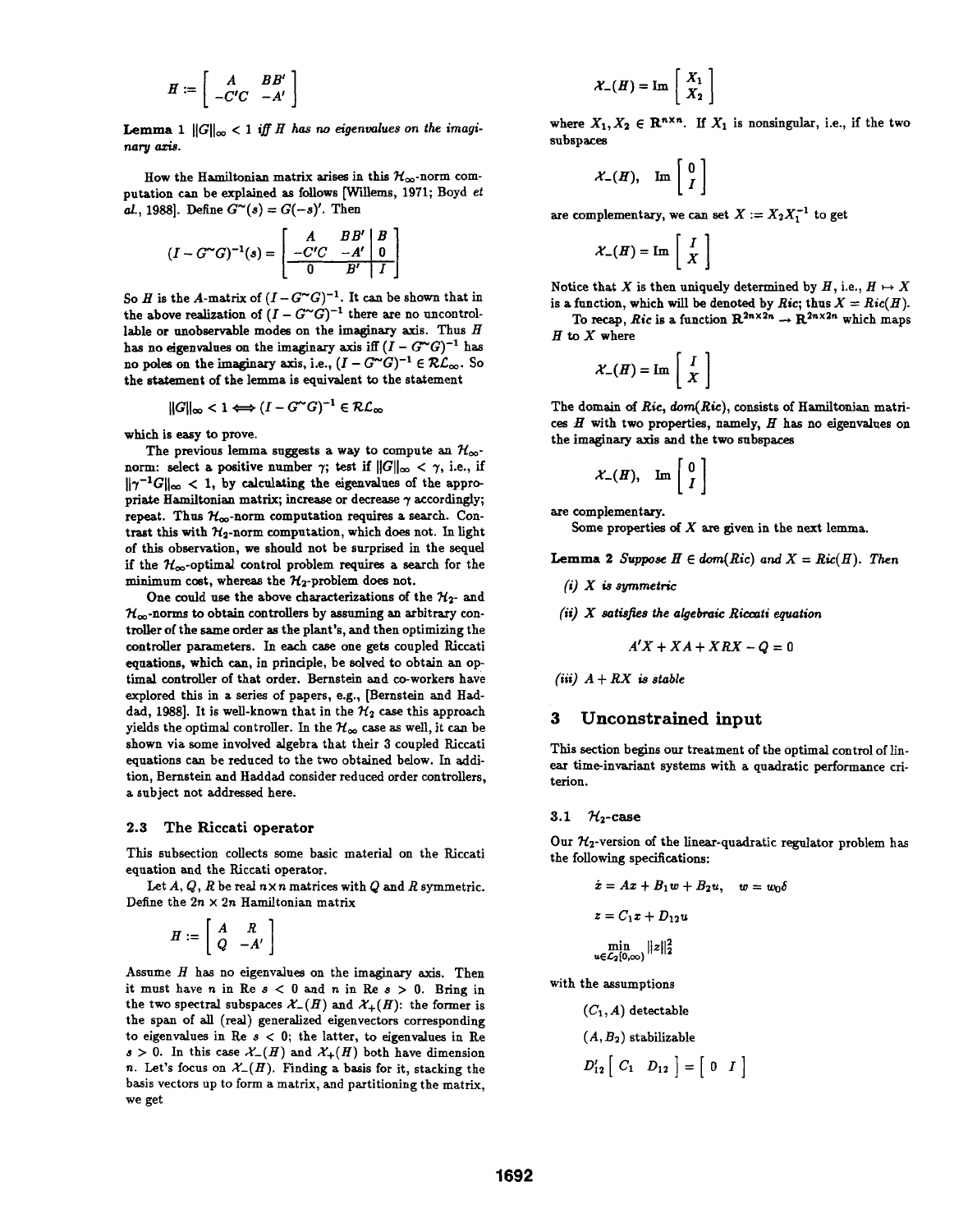$$
H := \left[ \begin{array}{cc} A & BB' \\ -C'C & -A' \end{array} \right]
$$

**Lemma** 1  $||G||_{\infty} < 1$  iff H has no eigenvalues on the imaginary axis.

How the Hamiltonian matrix arises in this  $\mathcal{H}_{\infty}$ -norm computation can be explained as follows [Wilems, 1971; Boyd et al., 1988]. Define  $G^{\sim}(s) = G(-s)'$ . Then

$$
(I-G^{\sim}G)^{-1}(s) = \begin{bmatrix} A & BB' & B \\ -C'C & -A' & 0 \\ \hline 0 & B' & I \end{bmatrix}
$$

So H is the A-matrix of  $(I - G^{\sim}G)^{-1}$ . It can be shown that in the above realization of  $(I - G^{\sim}G)^{-1}$  there are no uncontrollable or unobservable modes on the imaginary axis. Thus  $H$ has no eigenvalues on the imaginary axis iff  $(I - G^{\sim}G)^{-1}$  has no poles on the imaginary axis, i.e.,  $(I - G^{\sim}G)^{-1} \in \mathcal{RL}_{\infty}$ . So the statement of the lemma is equivalent to the statement

$$
||G||_{\infty} < 1 \Longleftrightarrow (I - G^{\sim} G)^{-1} \in \mathcal{RL}_{\infty}
$$

which is easy to prove.

The previous lemma suggests a way to compute an  $\mathcal{H}_{\infty}$ norm: select a positive number  $\gamma$ ; test if  $||G||_{\infty} < \gamma$ , i.e., if  $\|\gamma^{-1} G\|_{\infty} < 1$ , by calculating the eigenvalues of the appropriate Hamiltonian matrix; increase or decrease  $\gamma$  accordingly; repeat. Thus  $\mathcal{H}_{\infty}$ -norm computation requires a search. Contrast this with  $\mathcal{H}_2$ -norm computation, which does not. In light of this observation, we should not be surprised in the sequel if the  $\mathcal{H}_{\infty}$ -optimal control problem requires a search for the minimum cost, whereas the  $\mathcal{H}_2$ -problem does not.

One could use the above characterizations of the  $\mathcal{H}_{2}$ - and  $\mathcal{H}_{\infty}$ -norms to obtain controllers by assuming an arbitrary controller of the same order as the plant's, and then optimizing the controller parameters. In each case one gets coupled Riccati equations, which can, in principle, be solved to obtain an optimal controller of that order. Bermstein and co-workers have explored this in a series of papers, e.g., [Bernstein and Haddad, 1988]. It is well-known that in the  $\mathcal{H}_2$  case this approach yields the optimal controller. In the  $\mathcal{H}_{\infty}$  case as well, it can be shown via some involved algebra that their 3 coupled Riccati equations can be reduced to the two obtained below. In addition, Bernstein and Haddad consider reduced order controllers, a subject not addressed here.

#### 2.3 The Riccati operator

This subsection collects some basic material on the Riccati equation and the Riccati operator.

Let  $A, Q, R$  be real  $n \times n$  matrices with  $Q$  and  $R$  symmetric. Define the  $2n \times 2n$  Hamiltonian matrix

$$
H := \left[ \begin{array}{cc} A & R \\ Q & -A' \end{array} \right]
$$

Assume  $H$  has no eigenvalues on the imaginary axis. Then it must have n in Re  $s < 0$  and n in Re  $s > 0$ . Bring in the two spectral subspaces  $\mathcal{X}_-(H)$  and  $\mathcal{X}_+(H)$ : the former is the span of all (real) generalized eigenvectors corresponding to eigenvalues in Re  $s < 0$ ; the latter, to eigenvalues in Re  $s > 0$ . In this case  $\mathcal{X}(H)$  and  $\mathcal{X}(H)$  both have dimension n. Let's focus on  $\mathcal{X}(H)$ . Finding a basis for it, stacking the basis vectors up to form a matrix, and partitioning the matrix, we get

$$
\mathcal{X}_-(H) = \mathrm{Im} \left[ \begin{array}{c} X_1 \\ X_2 \end{array} \right]
$$

where  $X_1, X_2 \in \mathbb{R}^{n \times n}$ . If  $X_1$  is nonsingular, i.e., if the two subspaces

$$
\mathcal{X}_-(H), \quad \text{Im}\left[\begin{array}{c}0\\I\end{array}\right]
$$

are complementary, we can set  $X := X_2 X_1^{-1}$  to get

$$
\mathcal{X}_{-}(H) = \operatorname{Im} \left[ \begin{array}{c} I \\ X \end{array} \right]
$$

Notice that X is then uniquely determined by  $H$ , i.e.,  $H \mapsto X$ is a function, which will be denoted by Ric; thus  $X = Ric(H)$ .

To recap, Ric is a function  $\mathbb{R}^{2n \times 2n} \to \mathbb{R}^{2n \times 2n}$  which maps  $H$  to  $X$  where

$$
\mathcal{X}_{-}(H) = \text{Im}\left[\begin{array}{c} I \\ X \end{array}\right]
$$

The domain of Ric, dom(Ric), consists of Hamiltonian matrices  $H$  with two properties, namely,  $H$  has no eigenvalues on the imaginary axis and the two subspaces

$$
\mathcal{X}_-(H), \quad \text{Im}\left[\begin{array}{c} 0 \\ I \end{array}\right]
$$

are complementary.

Some properties of  $X$  are given in the next lemma.

**Lemma 2** Suppose  $H \in dom(Ric)$  and  $X = Ric(H)$ . Then

- $(i)$  X is symmetric
- $(ii)$  X satisfies the algebraic Riccati equation

$$
A'X + XA + XRX - Q = 0
$$

(iii)  $A + RX$  is stable

# 3 Unconstrained input

This section begins our treatment of the optimal control of linear time-invariant systems with a quadratic performance criterion.

#### 3.1  $\mathcal{H}_2$ -case

Our  $\mathcal{H}_2$ -version of the linear-quadratic regulator problem has the following specifications:

$$
\begin{aligned} \dot{x} &= Ax + B_1 w + B_2 u, \quad w = w_0 \delta \\ z &= C_1 x + D_{12} u \\ \min_{u \in \mathcal{L}_2[0,\infty)} ||z||_2^2 \end{aligned}
$$

with the assumptions

$$
(C_1, A) \text{ detectable}
$$

$$
(A, B_2) \text{ stabilizable}
$$

$$
D'_{12}\left[\begin{array}{cc}C_1 & D_{12}\end{array}\right]=\left[\begin{array}{cc}0 & I\end{array}\right]
$$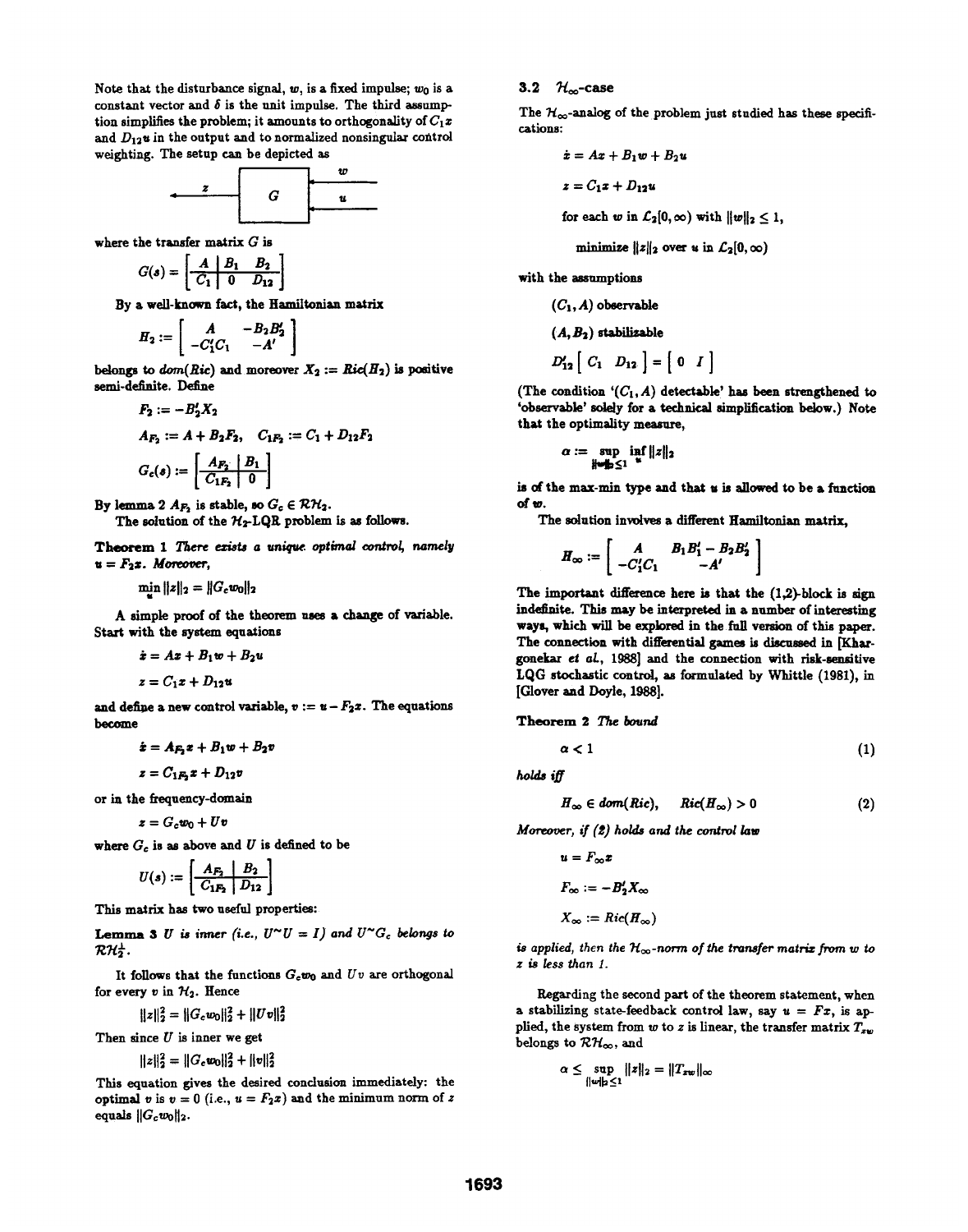Note that the disturbance signal,  $w_0$ , is a fixed impulse;  $w_0$  is a constant vector and  $\delta$  is the unit impulse. The third assumption simplifies the problem; it amounts to orthogonality of  $C_1x$ and  $D_{12}$ u in the output and to normalized nonsingular control weighting. The setup can be depicted as

$$
\begin{array}{c|c}\n\cdot & \cdot & \cdot \\
\hline\nG & u \\
\hline\n\end{array}
$$

where the transfer matrix  $G$  is

$$
G(s) = \left[\begin{array}{c|cc} A & B_1 & B_2 \\ \hline C_1 & 0 & D_{12} \end{array}\right]
$$

By a well-known fact, the Hamiltonian matrix

$$
H_2 := \left[ \begin{array}{cc} A & -B_2 B_2' \\ -C_1'C_1 & -A' \end{array} \right]
$$

belongs to  $dom(Ric)$  and moreover  $X_2 := Ric(H_2)$  is positive semi-definite. Define

$$
F_2 := -B_2'X_2
$$
  
\n
$$
A_{F_2} := A + B_2F_2, \quad C_{1F_2} := C_1 + D_{12}F_2
$$
  
\n
$$
G_c(s) := \left[ \frac{A_{F_2} \mid B_1}{C_{1F_2} \mid 0} \right]
$$

By lemma 2  $A_{F_2}$  is stable, so  $G_c \in \mathcal{RH}_2$ . The solution of the  $H_2$ -LQR problem is as follows.

Theorem 1 There exists a unique optimal control, namely  $u = F_2x$ . Moreover,

 $\min ||z||_2 = ||G_c w_0||_2$ 

A simple proof of the theorem uses <sup>a</sup> change of variable. Start with the system equations

$$
\dot{x}=Ax+B_1w+B_2u
$$

$$
z = C_1 x + D_{12} u
$$

and define a new control variable,  $v := u - F_2x$ . The equations become

$$
\dot{x} = A_{F_2}x + B_1w + B_2v
$$

$$
z = C_{1F_2}x + D_{12}v
$$

or in the frequency-domain

$$
z = G_c w_0 + U v
$$

where  $G_c$  is as above and U is defined to be

$$
U(s) := \left[\begin{array}{c|c} A_{F_2} & B_2 \\ \hline C_{1F_2} & D_{12} \end{array}\right]
$$

This matrix has two useful properties:

**Lemma 3** U is inner (i.e.,  $U^{\sim}U = I$ ) and  $U^{\sim}G_c$  belongs to  $\mathcal{RH}_2^{\perp}$ .

It follows that the functions  $G_c w_0$  and  $Uv$  are orthogonal for every v in  $\mathcal{H}_2$ . Hence

 $||z||_2^2 = ||G_c w_0||_2^2 + ||Uv||_2^2$ 

Then since  $U$  is inner we get

 $||z||_2^2 = ||G_c w_0||_2^2 + ||v||_2^2$ 

This equation gives the desired conclusion immediately: the optimal v is  $v = 0$  (i.e.,  $u = F_2x$ ) and the minimum norm of z equals  $||G_cw_0||_2$ .

# 3.2  $\mathcal{H}_{\infty}$ -case

The  $\mathcal{H}_{\infty}$ -analog of the problem just studied has these specifications:

$$
\dot{x}=Ax+B_1w+B_2u
$$

 $z = C_1z + D_{12}u$ 

for each w in  $\mathcal{L}_2[0,\infty)$  with  $||w||_2 \leq 1$ ,

minimize 
$$
||z||_2
$$
 over  $\alpha$  in  $\mathcal{L}_2[0,\infty)$ 

with the assumptions

$$
(C_1, A) \t{ observeable}
$$

$$
(A, B_2) \text{ stabilizable}
$$

$$
D'_{12}\left[\begin{array}{cc}C_1 & D_{12}\end{array}\right]=\left[\begin{array}{cc}0 & I\end{array}\right]
$$

(The condition  $(C_1, A)$  detectable' has been strengthened to 'observable' solely for a tehnical simplification below.) Note that the optimality measure,

$$
\alpha := \sup_{\|\mathbf{w}\|_2 \leq 1} \inf_{\mathbf{x}} \|z\|_2
$$

is of the max-min type and that u is allowed to be a function of W.

The solution involves a different Hamiltonian matrix,

$$
H_{\infty} := \left[ \begin{array}{cc} A & B_1B_1' - B_2B_2' \\ -C_1'C_1 & -A' \end{array} \right]
$$

The important difference here is that the  $(1,2)$ -block is sign indefinite. This may be interpreted in a number of interesting ways, which will be explored in the ful version of this paper. The connection with differential games is discussed in [Khargonekar et aL, 1988] and the connection with risk-ensitive LQG stochastic control, as formulated by Whittle (1981), in [Glover and Doyle, 1988].

Theorem 2 The bound

$$
\alpha < 1 \tag{1}
$$

holds iff

$$
H_{\infty} \in dom(Ric), \quad Ric(H_{\infty}) > 0 \qquad (2)
$$

Moreover, if (2) holds and the control law

$$
u = F_{\infty}x
$$

$$
F_{\infty} := -B'_2X_{\infty}
$$

$$
X_{\infty} := Ric(H_{\infty})
$$

is applied, then the  $\mathcal{H}_{\infty}$ -norm of the transfer matrix from w to z is less than 1.

Regarding the second part of the theorem statement, when a stabilizing state-feedback control law, say  $u = Fx$ , is applied, the system from w to z is linear, the transfer matrix  $T_{zw}$ belongs to  $\mathcal{RH}_{\infty}$ , and

$$
\alpha \leq \sup_{\|w\|_2 \leq 1} \|z\|_2 = \|T_{zw}\|_{\infty}
$$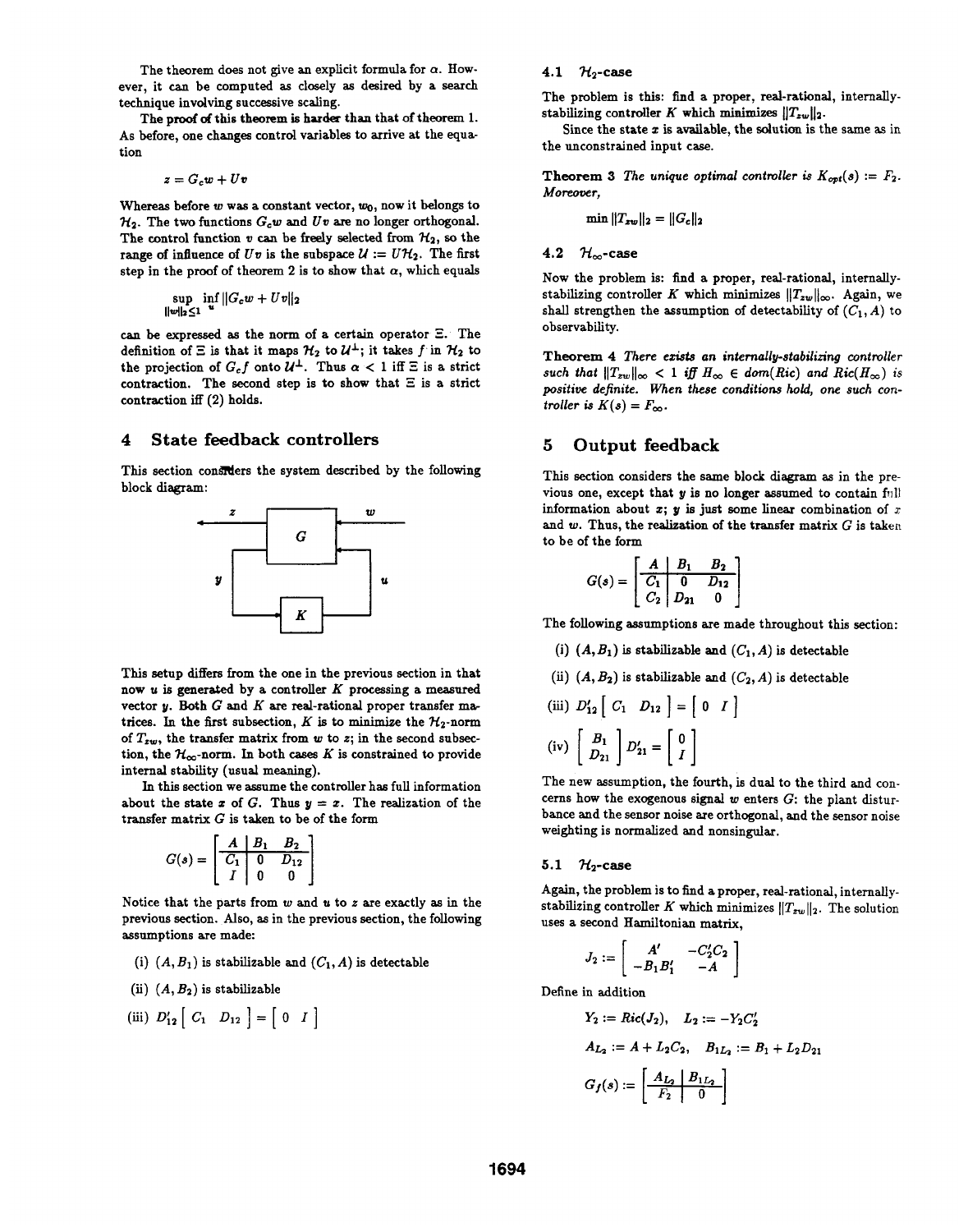The theorem does not give an explicit formula for  $\alpha$ . However, it can be computed as closely as desired by a search technique involving successive scaling.

The proof of this theorem is harder than that of theorem 1. As before, one changes control variables to arrive at the equation

$$
z = G_c w + U v
$$

Whereas before  $w$  was a constant vector,  $w_0$ , now it belongs to  $\mathcal{H}_2$ . The two functions  $G_c w$  and  $Uv$  are no longer orthogonal. The control function v can be freely selected from  $\mathcal{H}_2$ , so the range of influence of  $Uv$  is the subspace  $\mathcal{U} := U\mathcal{H}_2$ . The first step in the proof of theorem 2 is to show that  $\alpha$ , which equals

$$
\sup_{\|\boldsymbol{w}\|_2\leq 1} \inf_{\boldsymbol{u}} \|G_c \boldsymbol{w} + U \boldsymbol{v}\|_2
$$

can be expressed as the norm of a certain operator  $\Xi$ . The definition of  $\Xi$  is that it maps  $\mathcal{H}_2$  to  $\mathcal{U}^{\perp}$ ; it takes f in  $\mathcal{H}_2$  to the projection of  $G_c f$  onto  $\mathcal{U}^{\perp}$ . Thus  $\alpha < 1$  iff  $\Xi$  is a strict contraction. The second step is to show that  $\Xi$  is a strict contraction iff (2) holds.

# 4 State feedback controllers

This section considers the system described by the following block diagram:



This setup differs from the one in the previous section in that now  $u$  is generated by a controller  $K$  processing a measured vector  $y$ . Both  $G$  and  $K$  are real-rational proper transfer matrices. In the first subsection, K is to minimize the  $\mathcal{H}_2$ -norm of  $T_{zw}$ , the transfer matrix from w to z; in the second subsection, the  $\mathcal{H}_{\infty}$ -norm. In both cases K is constrained to provide internal stability (usual meaning).

In this section we assume the controller has full information about the state x of G. Thus  $y = x$ . The realization of the transfer matrix  $G$  is taken to be of the form

$$
G(s) = \begin{bmatrix} A & B_1 & B_2 \\ \hline C_1 & 0 & D_{12} \\ I & 0 & 0 \end{bmatrix}
$$

Notice that the parts from  $w$  and  $u$  to  $z$  are exactly as in the previous section. Also, as in the previous section, the following assumptions are made:

- (i)  $(A, B_1)$  is stabilizable and  $(C_1, A)$  is detectable
- (ii)  $(A, B_2)$  is stabilizable

$$
(iii) D'_{12} [C_1 D_{12}] = [0 I]
$$

#### 4.1  $\mathcal{H}_2$ -case

The problem is this: find a proper, real-rational, internallystabilizing controller K which minimizes  $||T_{zw}||_2$ .

Since the state  $x$  is available, the solution is the same as in the unconstrained input case.

**Theorem 3** The unique optimal controller is  $K_{opt}(s) := F_2$ . Moreover,

$$
\min \|T_{zw}\|_2 = \|G_c\|_2
$$

# 4.2  $\mathcal{H}_{\infty}$ -case

Now the problem is: find a proper, real-rational, internallystabilizing controller K which minimizes  $||T_{zw}||_{\infty}$ . Again, we shall strengthen the assumption of detectability of  $(C_1, A)$  to observability.

Theorem 4 There exists an internally-stabilizing controller such that  $||T_{zw}||_{\infty} < 1$  iff  $H_{\infty} \in dom(Ric)$  and  $Ric(H_{\infty})$  is positive definite. When these conditions hold, one such controller is  $K(s) = F_{\infty}$ .

# 5 Output feedback

This section considers the same block diagram as in the previous one, except that  $y$  is no longer assumed to contain full information about  $x$ ;  $y$  is just some linear combination of  $x$ and  $w$ . Thus, the realization of the transfer matrix  $G$  is taken to be of the form

$$
G(s) = \begin{bmatrix} A & B_1 & B_2 \\ \hline C_1 & 0 & D_{12} \\ C_2 & D_{21} & 0 \end{bmatrix}
$$

The following assumptions are made throughout this section:

- (i)  $(A, B_1)$  is stabilizable and  $(C_1, A)$  is detectable
- (ii)  $(A, B_2)$  is stabilizable and  $(C_2, A)$  is detectable
- (iii)  $D'_{12}$   $C_1$   $D_{12}$   $=$   $0$   $I$ (iv)  $\begin{bmatrix} D_1 \\ D_{21} \end{bmatrix} D'_{21} = \begin{bmatrix} 0 \\ I \end{bmatrix}$

The new assumption, the fourth, is dual to the third and concerns how the exogenous signal  $w$  enters  $G$ : the plant disturbance and the sensor noise are orthogonal, and the sensor noise weighting is normalized and nonsingular.

# 5.1  $\mathcal{H}_2$ -case

Again, the problem is to find a proper, real-rational, internallystabilizing controller K which minimizes  $||T_{zw}||_2$ . The solution uses a second Haniltonian matrix,

$$
J_2 := \left[ \begin{array}{cc} A' & -C'_2C_2 \\ -B_1B'_1 & -A \end{array} \right]
$$

Define in addition

$$
Y_2 := Ric(J_2), \quad L_2 := -Y_2 C_2'
$$
  
\n
$$
A_{L_2} := A + L_2 C_2, \quad B_{1L_2} := B_1 + L_2 D_{21}
$$
  
\n
$$
G_f(s) := \left[ \frac{A_{L_2} | B_{1L_2}}{F_2} \right]
$$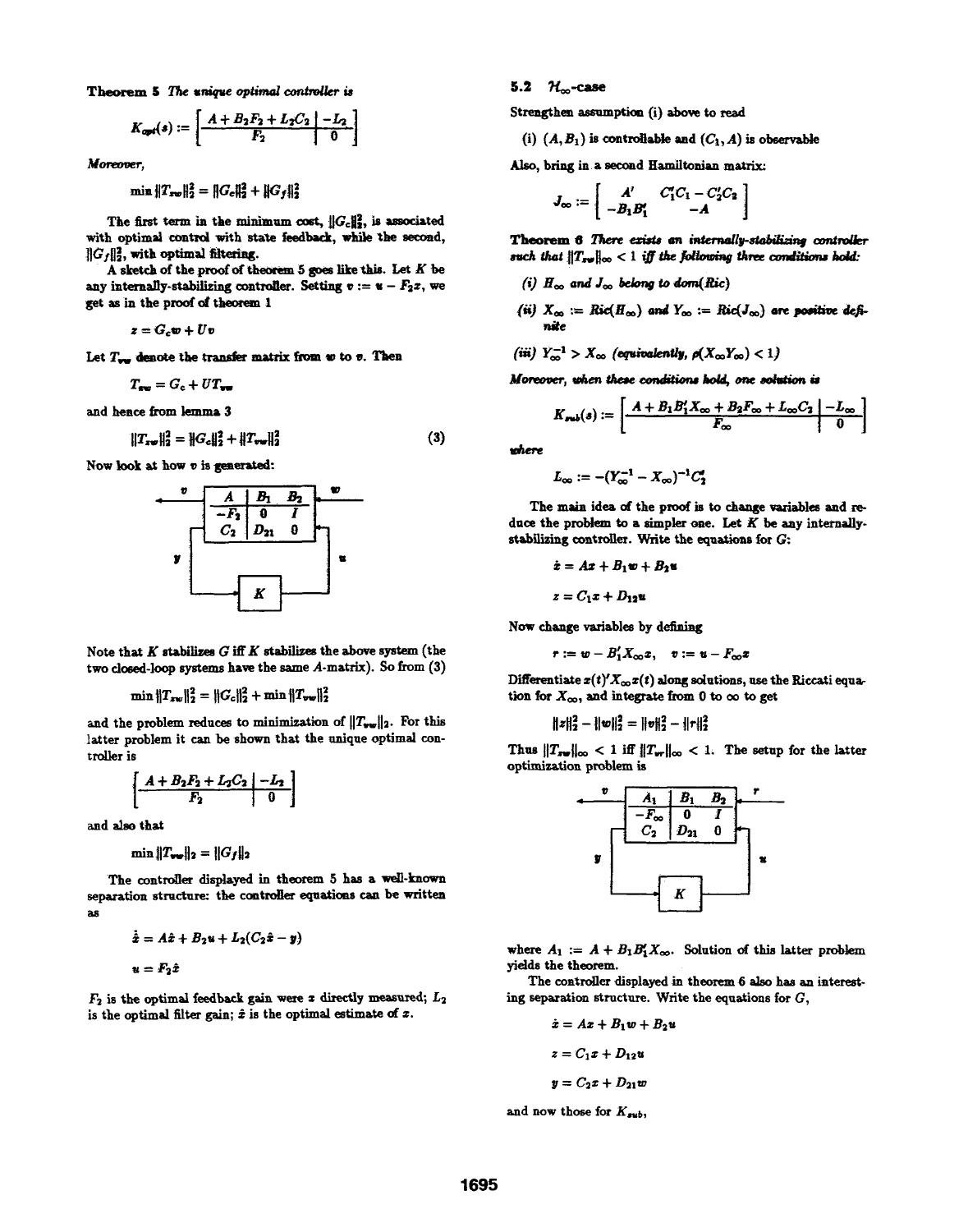Theorem 5 The unique optimal controller is

$$
K_{opt}(s) := \left[ \begin{array}{c|c} A + B_2 F_2 + L_2 C_2 & -L_2 \\ \hline F_2 & 0 \end{array} \right]
$$

Moreover,

$$
\min \|T_{sw}\|_2^2 = \|G_e\|_2^2 + \|G_f\|_2^2
$$

The first term in the minimum cost,  $||G_c||_2^2$ , is associated with optimal control with state feedback, while the second,  $||G_f||_2^2$ , with optimal filtering.

A sketch of the proof of theorem 5 goes like this. Let  $K$  be any internally-stabilizing controller. Setting  $v := u - F_2x$ , we get as in the proof of theorem 1

$$
z = G_c w + U v
$$

Let  $T_{\text{two}}$  denote the transfer matrix from  $w$  to  $v$ . Then

 $T_{\text{ave}} = G_c + UT_{\text{ave}}$ 

and hence from lemma 3

$$
||T_{x\psi}||_2^2 = ||G_c||_2^2 + ||T_{vw}||_2^2
$$
 (3)

Now look at how v is generated:



Note that  $K$  stabilizes  $G$  iff  $K$  stabilizes the above system (the two closed-loop systems have the same A-matrix). So from (3)

$$
\min \|T_{zw}\|_2^2 = \|G_c\|_2^2 + \min \|T_{vw}\|_2^2
$$

and the problem reduces to minimization of  $||T_{vw}||_2$ . For this latter problem it can be shown that the unique optimal controller is

$$
\left[\begin{array}{c|c}\nA+B_2F_2+L_2C_2 & -L_2 \\
\hline\nF_2 & 0\n\end{array}\right]
$$

and also that

$$
\min ||T_{\text{vw}}||_2 = ||G_f||_2
$$

The controller displayed in theorem 5 has a well-known separation structure: the controller equations can be written as.

$$
\dot{\hat{x}} = A\hat{x} + B_2u + L_2(C_2\hat{x} - y)
$$
  

$$
u = F_2\hat{x}
$$

 $F_2$  is the optimal feedback gain were x directly measured;  $L_2$ is the optimal filter gain;  $\hat{x}$  is the optimal estimate of  $x$ .

## 5.2  $\mathcal{H}_{\infty}$ -case

Strengthen assumption (i) above to read

(i)  $(A, B_1)$  is controllable and  $(C_1, A)$  is observable

Also, bring in a second Hamiltonian matrix:

$$
J_{\infty} := \left[ \begin{array}{cc} A' & C_1'C_1 - C_2'C_2 \\ -B_1B_1' & -A \end{array} \right]
$$

Theorem 6 There exists an internally-stabilizing controller such that  $||T_{xw}||_{\infty} < 1$  iff the following three conditions hold:

- (i)  $H_{\infty}$  and  $J_{\infty}$  belong to dom(Ric)
- (ii)  $X_{\infty} := Ric(H_{\infty})$  and  $Y_{\infty} := Ric(J_{\infty})$  are positive definite
- (iii)  $Y_{\infty}^{-1} > X_{\infty}$  (equivalently,  $\rho(X_{\infty}Y_{\infty}) < 1$ )

Moreover, when these conditions hold, one solution is

$$
K_{sub}(s) := \left[\begin{array}{c|c} A+B_1B_1'X_{\infty}+B_2F_{\infty}+L_{\infty}C_2 & -L_{\infty} \\ \hline F_{\infty} & 0 \end{array}\right]
$$

where

$$
L_{\infty} := -(Y_{\infty}^{-1} - X_{\infty})^{-1} C_2'
$$

The main idea of the proof is to change variables and reduce the problem to a simpler one. Let  $K$  be any internallystabilizing controller. Write the equations for  $G$ :

$$
\dot{x} = Ax + B_1w + B_2w
$$

$$
z = C_1x + D_{12}w
$$

Now change variables by defining

 $\mathbf{r} := \mathbf{w} - B_1' X_{\infty} \mathbf{x}, \quad \mathbf{v} := \mathbf{u} - F_{\infty} \mathbf{x}$ 

Differentiate  $x(t)$ ' $X_{\infty}x(t)$  along solutions, use the Riccati equation for  $X_{\infty}$ , and integrate from 0 to  $\infty$  to get

$$
||z||_2^2 - ||w||_2^2 = ||v||_2^2 - ||r||_2^2
$$

Thus  $||T_{xw}||_{\infty} < 1$  iff  $||T_{wr}||_{\infty} < 1$ . The setup for the latter optimization problem is



where  $A_1 := A + B_1 B'_1 X_{\infty}$ . Solution of this latter problem yields the theorem.

The controller displayed in theorem 6 also has an interesting separation structure. Write the equations for  $G$ ,

$$
\dot{x} = Ax + B_1w + B_2u
$$

$$
z = C_1x + D_{12}u
$$

$$
y = C_2x + D_{21}w
$$

and now those for  $K_{sub}$ ,